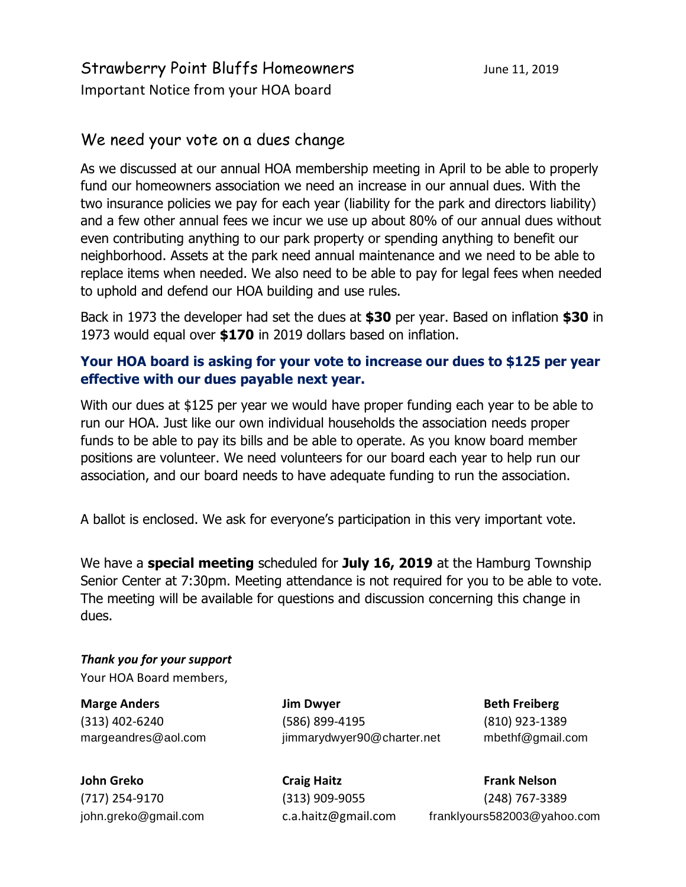## Strawberry Point Bluffs Homeowners June 11, 2019 Important Notice from your HOA board

### We need your vote on a dues change

As we discussed at our annual HOA membership meeting in April to be able to properly fund our homeowners association we need an increase in our annual dues. With the two insurance policies we pay for each year (liability for the park and directors liability) and a few other annual fees we incur we use up about 80% of our annual dues without even contributing anything to our park property or spending anything to benefit our neighborhood. Assets at the park need annual maintenance and we need to be able to replace items when needed. We also need to be able to pay for legal fees when needed to uphold and defend our HOA building and use rules.

Back in 1973 the developer had set the dues at **\$30** per year. Based on inflation **\$30** in 1973 would equal over **\$170** in 2019 dollars based on inflation.

#### **Your HOA board is asking for your vote to increase our dues to \$125 per year effective with our dues payable next year.**

With our dues at \$125 per year we would have proper funding each year to be able to run our HOA. Just like our own individual households the association needs proper funds to be able to pay its bills and be able to operate. As you know board member positions are volunteer. We need volunteers for our board each year to help run our association, and our board needs to have adequate funding to run the association.

A ballot is enclosed. We ask for everyone's participation in this very important vote.

We have a **special meeting** scheduled for **July 16, 2019** at the Hamburg Township Senior Center at 7:30pm. Meeting attendance is not required for you to be able to vote. The meeting will be available for questions and discussion concerning this change in dues.

*Thank you for your support* Your HOA Board members,

**Marge Anders Constanting Constanting Section Array in Dwyer Beth Freiberg Beth Freiberg** (313) 402-6240 (586) 899-4195 (810) 923-1389 margeandres@aol.com jimmarydwyer90@charter.net mbethf@gmail.com

**John Greko Craig Haitz Frank Nelson** (717) 254-9170 (313) 909-9055 (248) 767-3389 john.greko@gmail.com c.a.haitz@gmail.com franklyours582003@yahoo.com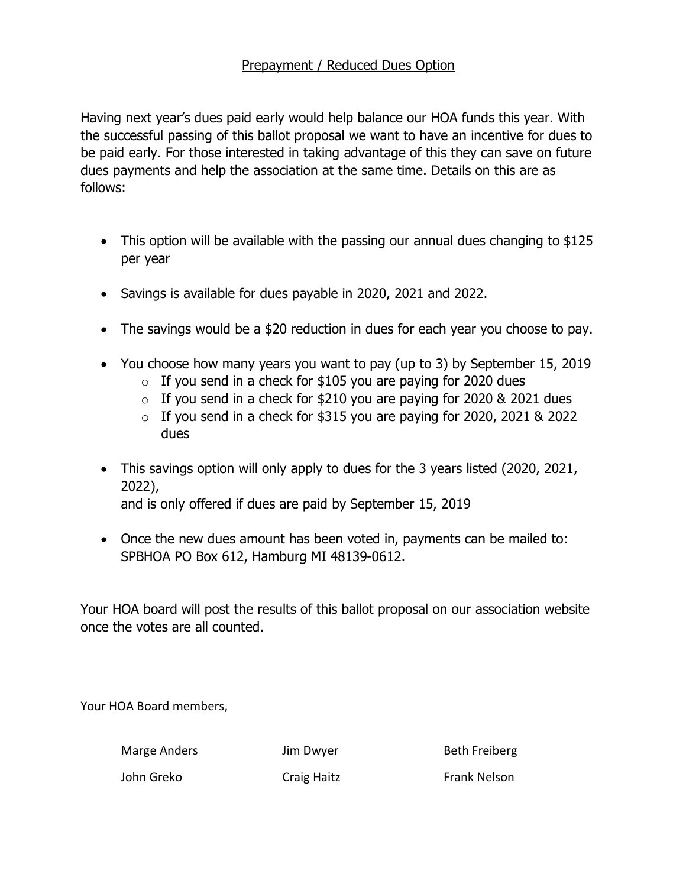#### Prepayment / Reduced Dues Option

Having next year's dues paid early would help balance our HOA funds this year. With the successful passing of this ballot proposal we want to have an incentive for dues to be paid early. For those interested in taking advantage of this they can save on future dues payments and help the association at the same time. Details on this are as follows:

- · This option will be available with the passing our annual dues changing to \$125 per year
- · Savings is available for dues payable in 2020, 2021 and 2022.
- The savings would be a \$20 reduction in dues for each year you choose to pay.
- · You choose how many years you want to pay (up to 3) by September 15, 2019
	- $\circ$  If you send in a check for \$105 you are paying for 2020 dues
	- $\circ$  If you send in a check for \$210 you are paying for 2020 & 2021 dues
	- $\circ$  If you send in a check for \$315 you are paying for 2020, 2021 & 2022 dues
- · This savings option will only apply to dues for the 3 years listed (2020, 2021, 2022), and is only offered if dues are paid by September 15, 2019
- · Once the new dues amount has been voted in, payments can be mailed to: SPBHOA PO Box 612, Hamburg MI 48139-0612.

Your HOA board will post the results of this ballot proposal on our association website once the votes are all counted.

Your HOA Board members,

Marge Anders **Marge Anders** Jim Dwyer **Beth Freiberg** John Greko Craig Haitz Frank Nelson